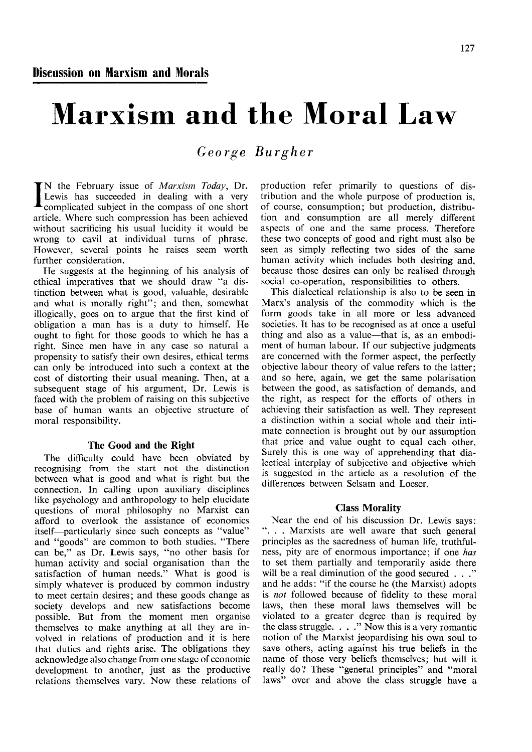## Marxism and the Moral Law

*George Burgher* 

IN the February issue of *Marxism Today*, Dr.<br>Lewis has succeeded in dealing with a very complicated subject in the compass of one short N the February issue of *Marxism Today,* Dr. Lewis has succeeded in dealing with a very article. Where such compression has been achieved without sacrificing his usual lucidity it would be wrong to cavil at individual turns of phrase. However, several points he raises seem worth further consideration.

He suggests at the beginning of his analysis of ethical imperatives that we should draw "a distinction between what is good, valuable, desirable and what is morally right"; and then, somewhat illogically, goes on to argue that the first kind of obligation a man has is a duty to himself. He ought to fight for those goods to which he has a right. Since men have in any case so natural a propensity to satisfy their own desires, ethical terms can only be introduced into such a context at the cost of distorting their usual meaning. Then, at a subsequent stage of his argument, Dr. Lewis is faced with the problem of raising on this subjective base of human wants an objective structure of moral responsibility.

## **The Good and the Right**

The difficulty could have been obviated by recognising from the start not the distinction between what is good and what is right but the connection. In calling upon auxiliary disciplines like psychology and anthropology to help elucidate questions of moral philosophy no Marxist can afford to overlook the assistance of economics itself—particularly since such concepts as "value" and "goods" are common to both studies. "There can be," as Dr. Lewis says, "no other basis for human activity and social organisation than the satisfaction of human needs." What is good is simply whatever is produced by common industry to meet certain desires; and these goods change as society develops and new satisfactions become possible. But from the moment men organise themselves to make anything at all they are involved in relations of production and it is here that duties and rights arise. The obligations they acknowledge also change from one stage of economic development to another, just as the productive relations themselves vary. Now these relations of

production refer primarily to questions of distribution and the whole purpose of production is, of course, consumption; but production, distribution and consumption are all merely different aspects of one and the same process. Therefore these two concepts of good and right must also be seen as simply reflecting two sides of the same human activity which includes both desiring and, because those desires can only be realised through social co-operation, responsibilities to others.

This dialectical relationship is also to be seen in Marx's analysis of the commodity which is the form goods take in all more or less advanced societies. It has to be recognised as at once a useful thing and also as a value—that is, as an embodiment of human labour. If our subjective judgments are concerned with the former aspect, the perfectly objective labour theory of value refers to the latter; and so here, again, we get the same polarisation between the good, as satisfaction of demands, and the right, as respect for the efforts of others in achieving their satisfaction as well. They represent a distinction within a social whole and their intimate connection is brought out by our assumption that price and value ought to equal each other. Surely this is one way of apprehending that dialectical interplay of subjective and objective which is suggested in the article as a resolution of the differences between Selsam and Loeser.

## **Class Morality**

Near the end of his discussion Dr. Lewis says: ". . . Marxists are well aware that such general principles as the sacredness of human life, truthfulness, pity are of enormous importance; if one *has*  to set them partially and temporarily aside there will be a real diminution of the good secured . . ." and he adds: "if the course he (the Marxist) adopts is *not* followed because of fidelity to these moral laws, then these moral laws themselves will be violated to a greater degree than is required by the class struggle. . . ." Now this is a very romantic notion of the Marxist jeopardising his own soul to save others, acting against his true beliefs in the name of those very beliefs themselves; but will it really do? These "general principles" and "moral laws" over and above the class struggle have a